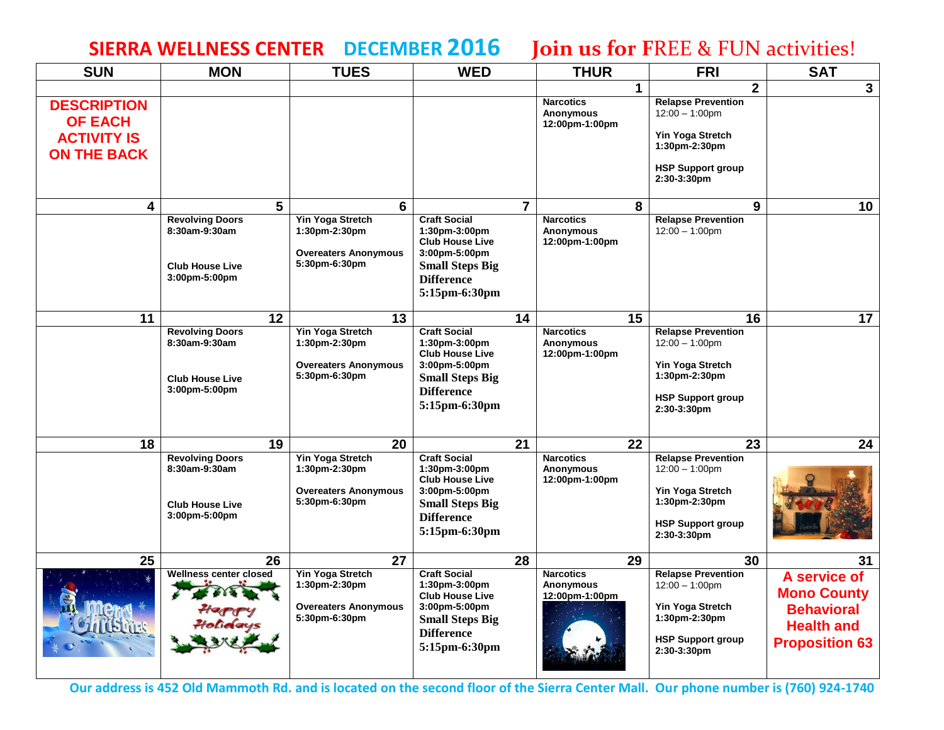## **SIERRA WELLNESS CENTER DECEMBER 2016 Join us for F**REE & FUN activities!

| <b>SUN</b>                                                                       | <b>MON</b>                                                                         | <b>TUES</b>                                                                              | <b>WED</b>                                                                                                                                             |                | <b>THUR</b>                                            |    | <b>FRI</b>                                                                                                                            | <b>SAT</b>                                                                                            |
|----------------------------------------------------------------------------------|------------------------------------------------------------------------------------|------------------------------------------------------------------------------------------|--------------------------------------------------------------------------------------------------------------------------------------------------------|----------------|--------------------------------------------------------|----|---------------------------------------------------------------------------------------------------------------------------------------|-------------------------------------------------------------------------------------------------------|
|                                                                                  |                                                                                    |                                                                                          |                                                                                                                                                        |                |                                                        | 1  | $\overline{2}$                                                                                                                        | $\mathbf{3}$                                                                                          |
| <b>DESCRIPTION</b><br><b>OF EACH</b><br><b>ACTIVITY IS</b><br><b>ON THE BACK</b> |                                                                                    |                                                                                          |                                                                                                                                                        |                | <b>Narcotics</b><br>Anonymous<br>12:00pm-1:00pm        |    | <b>Relapse Prevention</b><br>$12:00 - 1:00$ pm<br><b>Yin Yoga Stretch</b><br>1:30pm-2:30pm<br><b>HSP Support group</b><br>2:30-3:30pm |                                                                                                       |
| $\overline{\mathbf{4}}$                                                          | 5                                                                                  | 6                                                                                        |                                                                                                                                                        | $\overline{7}$ |                                                        | 8  | 9                                                                                                                                     | 10 <sup>°</sup>                                                                                       |
|                                                                                  | <b>Revolving Doors</b><br>8:30am-9:30am<br><b>Club House Live</b><br>3:00pm-5:00pm | Yin Yoga Stretch<br>1:30pm-2:30pm<br><b>Overeaters Anonymous</b><br>5:30pm-6:30pm        | <b>Craft Social</b><br>1:30pm-3:00pm<br><b>Club House Live</b><br>3:00pm-5:00pm<br><b>Small Steps Big</b><br><b>Difference</b><br>5:15pm-6:30pm        |                | <b>Narcotics</b><br>Anonymous<br>12:00pm-1:00pm        |    | <b>Relapse Prevention</b><br>$12:00 - 1:00$ pm                                                                                        |                                                                                                       |
| 11                                                                               | 12                                                                                 | 13                                                                                       |                                                                                                                                                        | 14             |                                                        | 15 | 16                                                                                                                                    | 17                                                                                                    |
|                                                                                  | <b>Revolving Doors</b><br>8:30am-9:30am<br><b>Club House Live</b><br>3:00pm-5:00pm | <b>Yin Yoga Stretch</b><br>1:30pm-2:30pm<br><b>Overeaters Anonymous</b><br>5:30pm-6:30pm | <b>Craft Social</b><br>1:30pm-3:00pm<br><b>Club House Live</b><br>3:00pm-5:00pm<br><b>Small Steps Big</b><br><b>Difference</b><br>5:15pm-6:30pm        |                | <b>Narcotics</b><br>Anonymous<br>12:00pm-1:00pm        |    | <b>Relapse Prevention</b><br>$12:00 - 1:00$ pm<br><b>Yin Yoga Stretch</b><br>1:30pm-2:30pm<br><b>HSP Support group</b><br>2:30-3:30pm |                                                                                                       |
| 18                                                                               | 19                                                                                 | 20                                                                                       |                                                                                                                                                        | 21             |                                                        | 22 | 23                                                                                                                                    | 24                                                                                                    |
|                                                                                  | <b>Revolving Doors</b><br>8:30am-9:30am<br><b>Club House Live</b><br>3:00pm-5:00pm | <b>Yin Yoga Stretch</b><br>1:30pm-2:30pm<br><b>Overeaters Anonymous</b><br>5:30pm-6:30pm | <b>Craft Social</b><br>$1:30$ pm- $3:00$ pm<br><b>Club House Live</b><br>3:00pm-5:00pm<br><b>Small Steps Big</b><br><b>Difference</b><br>5:15pm-6:30pm |                | <b>Narcotics</b><br>Anonymous<br>12:00pm-1:00pm        |    | <b>Relapse Prevention</b><br>$12:00 - 1:00$ pm<br>Yin Yoga Stretch<br>1:30pm-2:30pm<br><b>HSP Support group</b><br>2:30-3:30pm        |                                                                                                       |
| $\overline{25}$                                                                  | 26                                                                                 | 27                                                                                       |                                                                                                                                                        | 28             |                                                        | 29 | 30                                                                                                                                    | 31                                                                                                    |
|                                                                                  | Wellness center closed                                                             | <b>Yin Yoga Stretch</b><br>1:30pm-2:30pm<br><b>Overeaters Anonymous</b><br>5:30pm-6:30pm | <b>Craft Social</b><br>$1:30$ pm- $3:00$ pm<br><b>Club House Live</b><br>3:00pm-5:00pm<br><b>Small Steps Big</b><br><b>Difference</b><br>5:15pm-6:30pm |                | <b>Narcotics</b><br><b>Anonymous</b><br>12:00pm-1:00pm |    | <b>Relapse Prevention</b><br>$12:00 - 1:00$ pm<br>Yin Yoga Stretch<br>1:30pm-2:30pm<br><b>HSP Support group</b><br>2:30-3:30pm        | A service of<br><b>Mono County</b><br><b>Behavioral</b><br><b>Health and</b><br><b>Proposition 63</b> |

**Our address is 452 Old Mammoth Rd. and is located on the second floor of the Sierra Center Mall. Our phone number is (760) 924-1740**